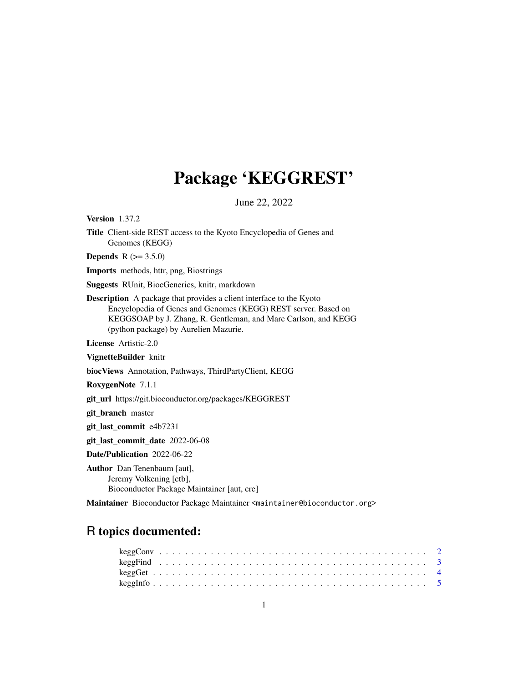## Package 'KEGGREST'

June 22, 2022

<span id="page-0-0"></span>Version 1.37.2

Title Client-side REST access to the Kyoto Encyclopedia of Genes and Genomes (KEGG)

**Depends**  $R (= 3.5.0)$ 

Imports methods, httr, png, Biostrings

Suggests RUnit, BiocGenerics, knitr, markdown

Description A package that provides a client interface to the Kyoto Encyclopedia of Genes and Genomes (KEGG) REST server. Based on KEGGSOAP by J. Zhang, R. Gentleman, and Marc Carlson, and KEGG (python package) by Aurelien Mazurie.

License Artistic-2.0

VignetteBuilder knitr

biocViews Annotation, Pathways, ThirdPartyClient, KEGG

RoxygenNote 7.1.1

git\_url https://git.bioconductor.org/packages/KEGGREST

git\_branch master

git\_last\_commit e4b7231

git\_last\_commit\_date 2022-06-08

Date/Publication 2022-06-22

Author Dan Tenenbaum [aut], Jeremy Volkening [ctb], Bioconductor Package Maintainer [aut, cre]

Maintainer Bioconductor Package Maintainer <maintainer@bioconductor.org>

## R topics documented: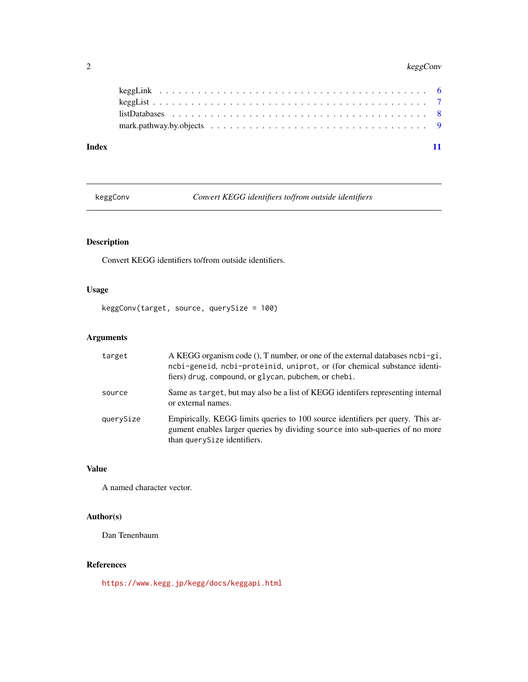## <span id="page-1-0"></span>2 keggConv

## **Index** [11](#page-10-0)

keggConv *Convert KEGG identifiers to/from outside identifiers*

## Description

Convert KEGG identifiers to/from outside identifiers.

## Usage

keggConv(target, source, querySize = 100)

## Arguments

| target    | A KEGG organism code (), T number, or one of the external databases $neb$ i-gi,<br>ncbi-geneid, ncbi-proteinid, uniprot, or (for chemical substance identi-<br>fiers) drug, compound, or glycan, pubchem, or chebi. |
|-----------|---------------------------------------------------------------------------------------------------------------------------------------------------------------------------------------------------------------------|
| source    | Same as target, but may also be a list of KEGG identifiers representing internal<br>or external names.                                                                                                              |
| querySize | Empirically, KEGG limits queries to 100 source identifiers per query. This ar-<br>gument enables larger queries by dividing source into sub-queries of no more<br>than querySize identifiers.                       |

## Value

A named character vector.

## Author(s)

Dan Tenenbaum

## References

<https://www.kegg.jp/kegg/docs/keggapi.html>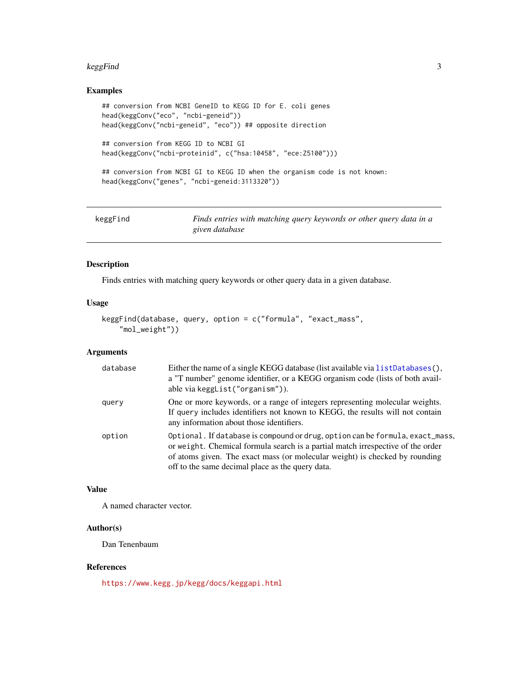#### <span id="page-2-0"></span>keggFind 3

## Examples

```
## conversion from NCBI GeneID to KEGG ID for E. coli genes
head(keggConv("eco", "ncbi-geneid"))
head(keggConv("ncbi-geneid", "eco")) ## opposite direction
## conversion from KEGG ID to NCBI GI
```

```
head(keggConv("ncbi-proteinid", c("hsa:10458", "ece:Z5100")))
```

```
## conversion from NCBI GI to KEGG ID when the organism code is not known:
head(keggConv("genes", "ncbi-geneid:3113320"))
```

| keggFind | Finds entries with matching query keywords or other query data in a |
|----------|---------------------------------------------------------------------|
|          | given database                                                      |

## Description

Finds entries with matching query keywords or other query data in a given database.

## Usage

```
keggFind(database, query, option = c("formula", "exact_mass",
    "mol_weight"))
```
## Arguments

| database | Either the name of a single KEGG database (list available via list Databases (),<br>a "T number" genome identifier, or a KEGG organism code (lists of both avail-<br>able via keggList("organism")).                                                                                                |
|----------|-----------------------------------------------------------------------------------------------------------------------------------------------------------------------------------------------------------------------------------------------------------------------------------------------------|
| query    | One or more keywords, or a range of integers representing molecular weights.<br>If query includes identifiers not known to KEGG, the results will not contain<br>any information about those identifiers.                                                                                           |
| option   | Optional. If database is compound or drug, option can be formula, exact_mass,<br>or weight. Chemical formula search is a partial match irrespective of the order<br>of atoms given. The exact mass (or molecular weight) is checked by rounding<br>off to the same decimal place as the query data. |

## Value

A named character vector.

## Author(s)

Dan Tenenbaum

#### References

<https://www.kegg.jp/kegg/docs/keggapi.html>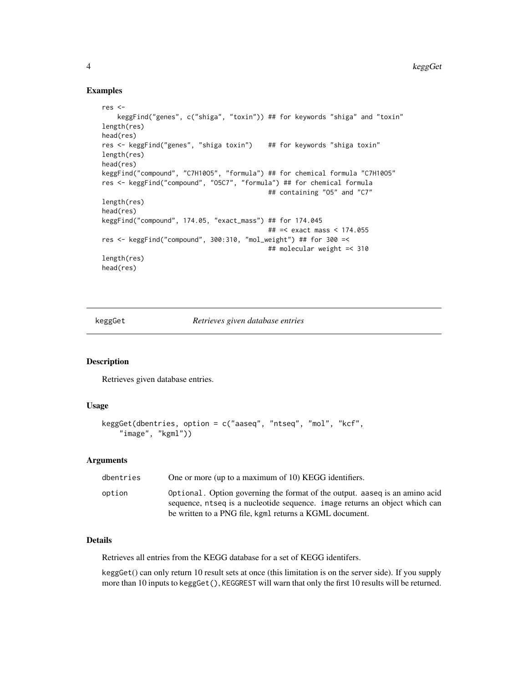#### Examples

```
res <-
    keggFind("genes", c("shiga", "toxin")) ## for keywords "shiga" and "toxin"
length(res)
head(res)
res <- keggFind("genes", "shiga toxin") ## for keywords "shiga toxin"
length(res)
head(res)
keggFind("compound", "C7H10O5", "formula") ## for chemical formula "C7H10O5"
res <- keggFind("compound", "O5C7", "formula") ## for chemical formula
                                           ## containing "O5" and "C7"
length(res)
head(res)
keggFind("compound", 174.05, "exact_mass") ## for 174.045
                                           ## =< exact mass < 174.055
res <- keggFind("compound", 300:310, "mol_weight") ## for 300 =<
                                           ## molecular weight =< 310
length(res)
head(res)
```
keggGet *Retrieves given database entries*

#### Description

Retrieves given database entries.

#### Usage

```
keggGet(dbentries, option = c("aaseq", "ntseq", "mol", "kcf",
    "image", "kgml"))
```
#### Arguments

| dbentries | One or more (up to a maximum of 10) KEGG identifiers.                                                                                                      |
|-----------|------------------------------------------------------------------------------------------------------------------------------------------------------------|
| option    | Optional. Option governing the format of the output, aaseg is an amino acid<br>sequence, ntseq is a nucleotide sequence, image returns an object which can |
|           | be written to a PNG file, kgml returns a KGML document.                                                                                                    |

#### Details

Retrieves all entries from the KEGG database for a set of KEGG identifers.

keggGet() can only return 10 result sets at once (this limitation is on the server side). If you supply more than 10 inputs to keggGet(), KEGGREST will warn that only the first 10 results will be returned.

<span id="page-3-0"></span>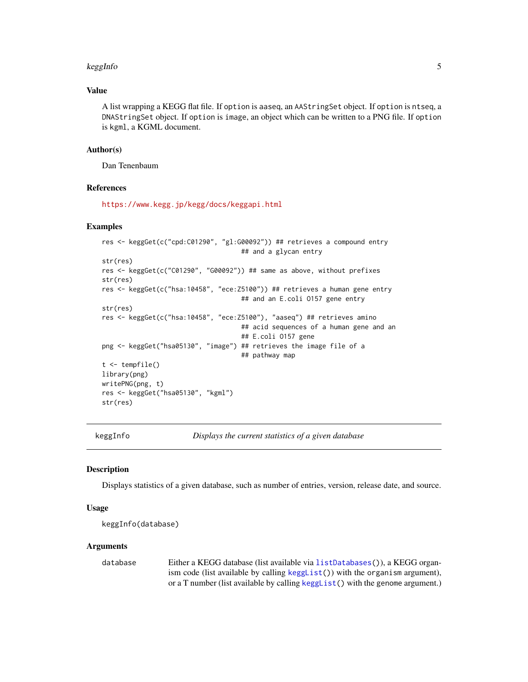#### <span id="page-4-0"></span>keggInfo 500 to 500 million was seen as a set of the set of the set of the set of the set of the set of the set of the set of the set of the set of the set of the set of the set of the set of the set of the set of the set

## Value

A list wrapping a KEGG flat file. If option is aaseq, an AAStringSet object. If option is ntseq, a DNAStringSet object. If option is image, an object which can be written to a PNG file. If option is kgml, a KGML document.

#### Author(s)

Dan Tenenbaum

#### References

<https://www.kegg.jp/kegg/docs/keggapi.html>

#### Examples

```
res <- keggGet(c("cpd:C01290", "gl:G00092")) ## retrieves a compound entry
                                    ## and a glycan entry
str(res)
res <- keggGet(c("C01290", "G00092")) ## same as above, without prefixes
str(res)
res <- keggGet(c("hsa:10458", "ece:Z5100")) ## retrieves a human gene entry
                                    ## and an E.coli O157 gene entry
str(res)
res <- keggGet(c("hsa:10458", "ece:Z5100"), "aaseq") ## retrieves amino
                                    ## acid sequences of a human gene and an
                                    ## E.coli O157 gene
png <- keggGet("hsa05130", "image") ## retrieves the image file of a
                                    ## pathway map
t <- tempfile()
library(png)
writePNG(png, t)
res <- keggGet("hsa05130", "kgml")
str(res)
```
keggInfo *Displays the current statistics of a given database*

#### Description

Displays statistics of a given database, such as number of entries, version, release date, and source.

#### Usage

```
keggInfo(database)
```
#### Arguments

database Either a KEGG database (list available via [listDatabases\(](#page-7-1))), a KEGG organism code (list available by calling [keggList\(](#page-6-1))) with the organism argument), or a T number (list available by calling [keggList\(](#page-6-1)) with the genome argument.)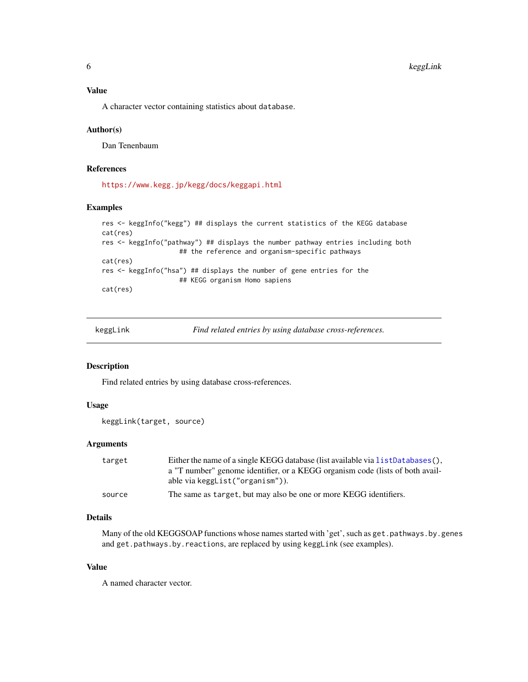<span id="page-5-0"></span>A character vector containing statistics about database.

#### Author(s)

Dan Tenenbaum

## References

<https://www.kegg.jp/kegg/docs/keggapi.html>

#### Examples

```
res <- keggInfo("kegg") ## displays the current statistics of the KEGG database
cat(res)
res <- keggInfo("pathway") ## displays the number pathway entries including both
                    ## the reference and organism-specific pathways
cat(res)
res <- keggInfo("hsa") ## displays the number of gene entries for the
                    ## KEGG organism Homo sapiens
cat(res)
```

| keggLink | Find related entries by using database cross-references. |
|----------|----------------------------------------------------------|
|          |                                                          |
|          |                                                          |

#### Description

Find related entries by using database cross-references.

#### Usage

```
keggLink(target, source)
```
#### Arguments

| target | Either the name of a single KEGG database (list available via listDatabases(). |
|--------|--------------------------------------------------------------------------------|
|        | a "T number" genome identifier, or a KEGG organism code (lists of both avail-  |
|        | able via keggList("organism")).                                                |
| source | The same as target, but may also be one or more KEGG identifiers.              |

## Details

Many of the old KEGGSOAP functions whose names started with 'get', such as get.pathways.by.genes and get.pathways.by.reactions, are replaced by using keggLink (see examples).

#### Value

A named character vector.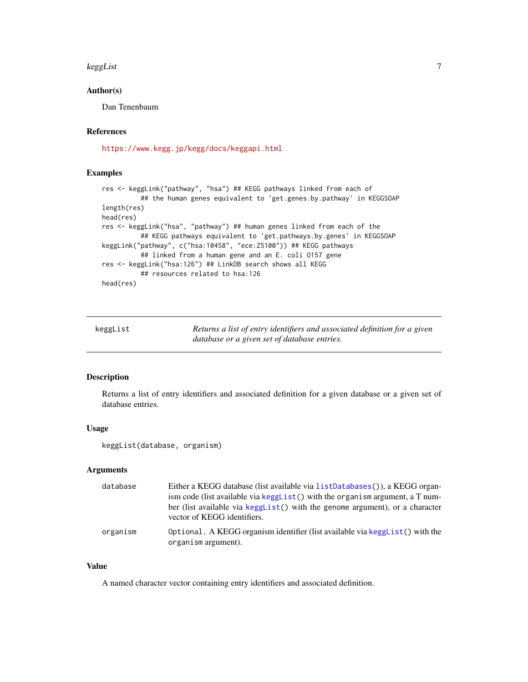#### <span id="page-6-0"></span>keggList 7

## Author(s)

Dan Tenenbaum

#### References

<https://www.kegg.jp/kegg/docs/keggapi.html>

#### Examples

```
res <- keggLink("pathway", "hsa") ## KEGG pathways linked from each of
          ## the human genes equivalent to 'get.genes.by.pathway' in KEGGSOAP
length(res)
head(res)
res <- keggLink("hsa", "pathway") ## human genes linked from each of the
          ## KEGG pathways equivalent to 'get.pathways.by.genes' in KEGGSOAP
keggLink("pathway", c("hsa:10458", "ece:Z5100")) ## KEGG pathways
          ## linked from a human gene and an E. coli O157 gene
res <- keggLink("hsa:126") ## LinkDB search shows all KEGG
          ## resources related to hsa:126
head(res)
```
<span id="page-6-1"></span>

| keggList | Returns a list of entry identifiers and associated definition for a given |
|----------|---------------------------------------------------------------------------|
|          | database or a given set of database entries.                              |

#### Description

Returns a list of entry identifiers and associated definition for a given database or a given set of database entries.

#### Usage

keggList(database, organism)

#### Arguments

| database | Either a KEGG database (list available via listDatabases()), a KEGG organ-                                  |
|----------|-------------------------------------------------------------------------------------------------------------|
|          | ism code (list available via kegg List () with the organism argument, a T num-                              |
|          | ber (list available via kegglist() with the genome argument), or a character<br>vector of KEGG identifiers. |
| organism | Optional. A KEGG organism identifier (list available via kegg List $()$ with the<br>organism argument).     |

#### Value

A named character vector containing entry identifiers and associated definition.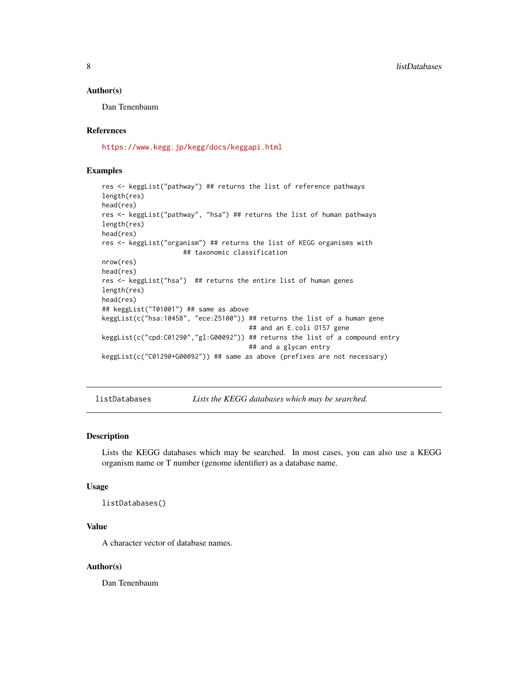#### <span id="page-7-0"></span>Author(s)

Dan Tenenbaum

## References

<https://www.kegg.jp/kegg/docs/keggapi.html>

#### Examples

```
res <- keggList("pathway") ## returns the list of reference pathways
length(res)
head(res)
res <- keggList("pathway", "hsa") ## returns the list of human pathways
length(res)
head(res)
res <- keggList("organism") ## returns the list of KEGG organisms with
                     ## taxonomic classification
nrow(res)
head(res)
res <- keggList("hsa") ## returns the entire list of human genes
length(res)
head(res)
## keggList("T01001") ## same as above
keggList(c("hsa:10458", "ece:Z5100")) ## returns the list of a human gene
                                      ## and an E.coli O157 gene
keggList(c("cpd:C01290","gl:G00092")) ## returns the list of a compound entry
                                      ## and a glycan entry
keggList(c("C01290+G00092")) ## same as above (prefixes are not necessary)
```
<span id="page-7-1"></span>listDatabases *Lists the KEGG databases which may be searched.*

#### Description

Lists the KEGG databases which may be searched. In most cases, you can also use a KEGG organism name or T number (genome identifier) as a database name.

#### Usage

```
listDatabases()
```
#### Value

A character vector of database names.

#### Author(s)

Dan Tenenbaum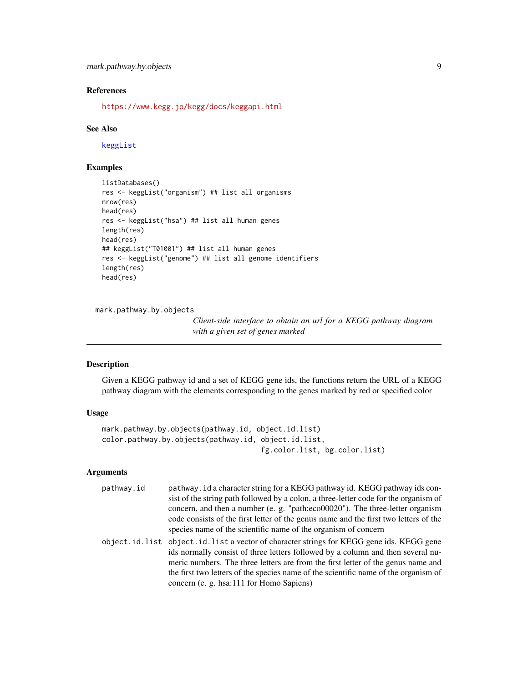## <span id="page-8-0"></span>References

<https://www.kegg.jp/kegg/docs/keggapi.html>

#### See Also

[keggList](#page-6-1)

## Examples

```
listDatabases()
res <- keggList("organism") ## list all organisms
nrow(res)
head(res)
res <- keggList("hsa") ## list all human genes
length(res)
head(res)
## keggList("T01001") ## list all human genes
res <- keggList("genome") ## list all genome identifiers
length(res)
head(res)
```
mark.pathway.by.objects

*Client-side interface to obtain an url for a KEGG pathway diagram with a given set of genes marked*

## Description

Given a KEGG pathway id and a set of KEGG gene ids, the functions return the URL of a KEGG pathway diagram with the elements corresponding to the genes marked by red or specified color

#### Usage

```
mark.pathway.by.objects(pathway.id, object.id.list)
color.pathway.by.objects(pathway.id, object.id.list,
                                     fg.color.list, bg.color.list)
```
#### Arguments

| pathway.id | pathway. id a character string for a KEGG pathway id. KEGG pathway ids con-<br>sist of the string path followed by a colon, a three-letter code for the organism of<br>concern, and then a number (e. g. "path:eco00020"). The three-letter organism<br>code consists of the first letter of the genus name and the first two letters of the<br>species name of the scientific name of the organism of concern |
|------------|----------------------------------------------------------------------------------------------------------------------------------------------------------------------------------------------------------------------------------------------------------------------------------------------------------------------------------------------------------------------------------------------------------------|
|            | object.id.list object.id.list a vector of character strings for KEGG gene ids. KEGG gene<br>ids normally consist of three letters followed by a column and then several nu-<br>meric numbers. The three letters are from the first letter of the genus name and<br>the first two letters of the species name of the scientific name of the organism of<br>concern (e. g. hsa:111 for Homo Sapiens)             |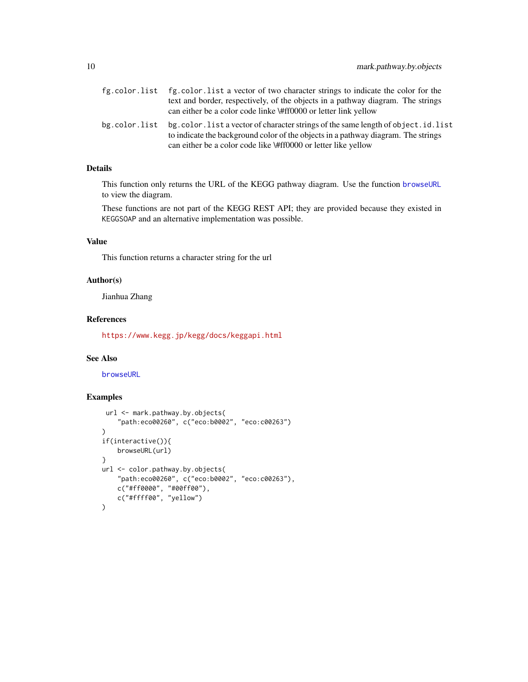<span id="page-9-0"></span>

|               | fg.color.list fg.color.list a vector of two character strings to indicate the color for the<br>text and border, respectively, of the objects in a pathway diagram. The strings<br>can either be a color code linke \#ff0000 or letter link yellow |
|---------------|---------------------------------------------------------------------------------------------------------------------------------------------------------------------------------------------------------------------------------------------------|
| bg.color.list | bg.color.list a vector of character strings of the same length of object.id.list<br>to indicate the background color of the objects in a pathway diagram. The strings<br>can either be a color code like \#ff0000 or letter like yellow           |

#### Details

This function only returns the URL of the KEGG pathway diagram. Use the function [browseURL](#page-0-0) to view the diagram.

These functions are not part of the KEGG REST API; they are provided because they existed in KEGGSOAP and an alternative implementation was possible.

## Value

This function returns a character string for the url

## Author(s)

Jianhua Zhang

## References

<https://www.kegg.jp/kegg/docs/keggapi.html>

#### See Also

[browseURL](#page-0-0)

## Examples

```
url <- mark.pathway.by.objects(
    "path:eco00260", c("eco:b0002", "eco:c00263")
)
if(interactive()){
    browseURL(url)
}
url <- color.pathway.by.objects(
    "path:eco00260", c("eco:b0002", "eco:c00263"),
    c("#ff0000", "#00ff00"),
    c("#ffff00", "yellow")
\mathcal{L}
```